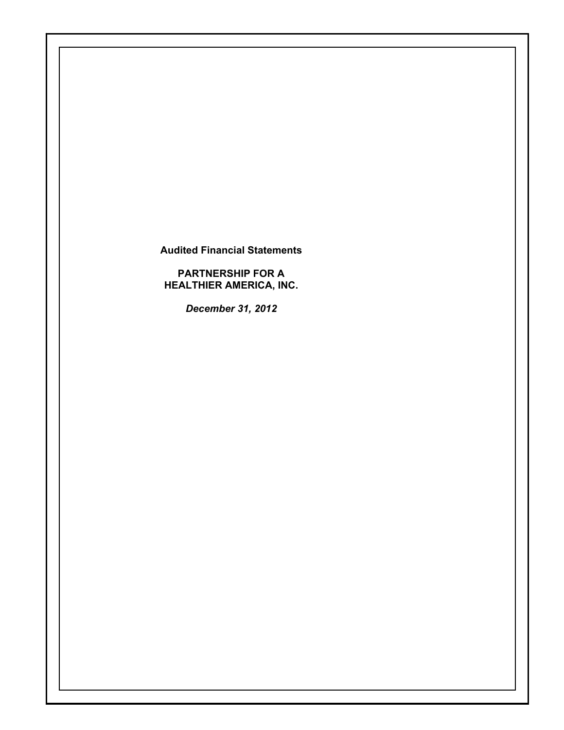**Audited Financial Statements** 

**PARTNERSHIP FOR A HEALTHIER AMERICA, INC.** 

*December 31, 2012*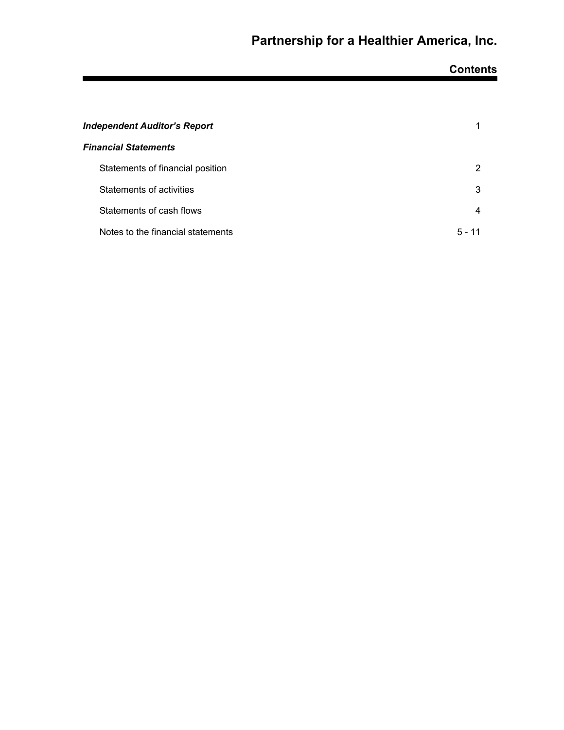# **Contents**

| Independent Auditor's Report      |          |
|-----------------------------------|----------|
| <b>Financial Statements</b>       |          |
| Statements of financial position  | 2        |
| Statements of activities          | 3        |
| Statements of cash flows          | 4        |
| Notes to the financial statements | $5 - 11$ |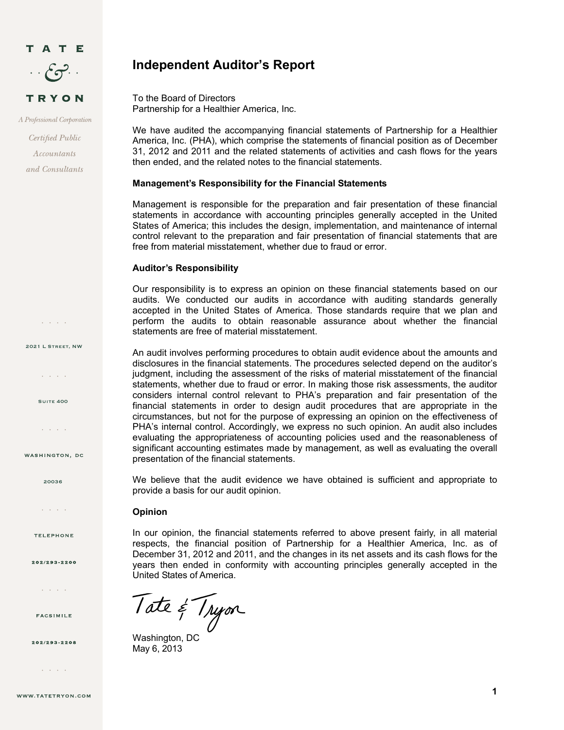

A Professional Corporation

Certified Public Accountants and Consultants

 $\mathcal{L} = \mathcal{L} \times \mathcal{L} \times \mathcal{L}$ 

2021 L Street, NW

and a state

**SUITE 400** 

and a state

WASHINGTON, DC

20036

 $\mathcal{L}^{\pm}$  ,  $\mathcal{L}^{\pm}$  ,  $\mathcal{L}^{\pm}$  ,  $\mathcal{L}^{\pm}$ 

**TELEPHONE** 

202/293-2200

 $\mathcal{L}^{\mathcal{A}}$  ,  $\mathcal{L}^{\mathcal{A}}$  ,  $\mathcal{L}^{\mathcal{A}}$  ,  $\mathcal{L}^{\mathcal{A}}$ 

**FACSIMILE** 

202/293-2208

and a state

## **Independent Auditor's Report**

To the Board of Directors Partnership for a Healthier America, Inc.

We have audited the accompanying financial statements of Partnership for a Healthier America, Inc. (PHA), which comprise the statements of financial position as of December 31, 2012 and 2011 and the related statements of activities and cash flows for the years then ended, and the related notes to the financial statements.

#### **Management's Responsibility for the Financial Statements**

Management is responsible for the preparation and fair presentation of these financial statements in accordance with accounting principles generally accepted in the United States of America; this includes the design, implementation, and maintenance of internal control relevant to the preparation and fair presentation of financial statements that are free from material misstatement, whether due to fraud or error.

#### **Auditor's Responsibility**

Our responsibility is to express an opinion on these financial statements based on our audits. We conducted our audits in accordance with auditing standards generally accepted in the United States of America. Those standards require that we plan and perform the audits to obtain reasonable assurance about whether the financial statements are free of material misstatement.

An audit involves performing procedures to obtain audit evidence about the amounts and disclosures in the financial statements. The procedures selected depend on the auditor's judgment, including the assessment of the risks of material misstatement of the financial statements, whether due to fraud or error. In making those risk assessments, the auditor considers internal control relevant to PHA's preparation and fair presentation of the financial statements in order to design audit procedures that are appropriate in the circumstances, but not for the purpose of expressing an opinion on the effectiveness of PHA's internal control. Accordingly, we express no such opinion. An audit also includes evaluating the appropriateness of accounting policies used and the reasonableness of significant accounting estimates made by management, as well as evaluating the overall presentation of the financial statements.

We believe that the audit evidence we have obtained is sufficient and appropriate to provide a basis for our audit opinion.

#### **Opinion**

In our opinion, the financial statements referred to above present fairly, in all material respects, the financial position of Partnership for a Healthier America, Inc. as of December 31, 2012 and 2011, and the changes in its net assets and its cash flows for the years then ended in conformity with accounting principles generally accepted in the United States of America.

Tate & Tryon

May 6, 2013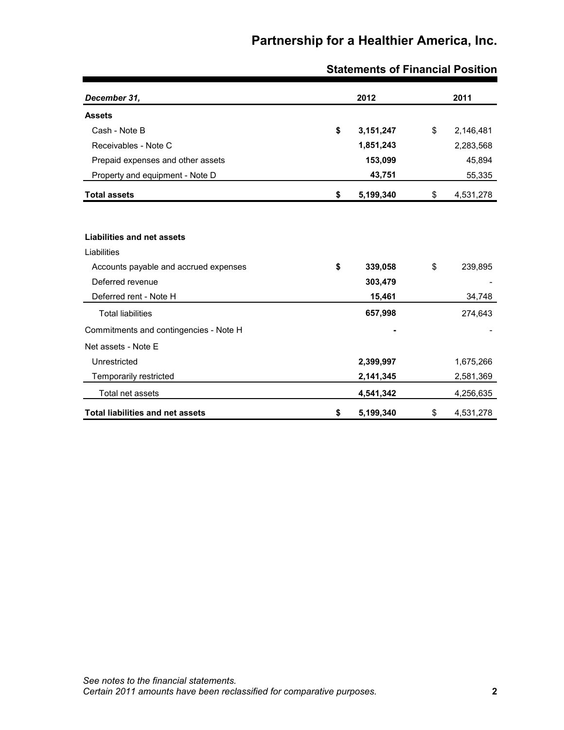| December 31,                            | 2012            | 2011            |
|-----------------------------------------|-----------------|-----------------|
| <b>Assets</b>                           |                 |                 |
| Cash - Note B                           | \$<br>3,151,247 | \$<br>2,146,481 |
| Receivables - Note C                    | 1,851,243       | 2,283,568       |
| Prepaid expenses and other assets       | 153,099         | 45,894          |
| Property and equipment - Note D         | 43,751          | 55,335          |
| <b>Total assets</b>                     | \$<br>5,199,340 | \$<br>4,531,278 |
|                                         |                 |                 |
| Liabilities and net assets              |                 |                 |
| Liabilities                             |                 |                 |
| Accounts payable and accrued expenses   | \$<br>339,058   | \$<br>239,895   |
| Deferred revenue                        | 303,479         |                 |
| Deferred rent - Note H                  | 15,461          | 34,748          |
| <b>Total liabilities</b>                | 657,998         | 274,643         |
| Commitments and contingencies - Note H  |                 |                 |
| Net assets - Note E                     |                 |                 |
| Unrestricted                            | 2,399,997       | 1,675,266       |
| Temporarily restricted                  | 2,141,345       | 2,581,369       |
| Total net assets                        | 4,541,342       | 4,256,635       |
| <b>Total liabilities and net assets</b> | \$<br>5,199,340 | \$<br>4,531,278 |

## **Statements of Financial Position**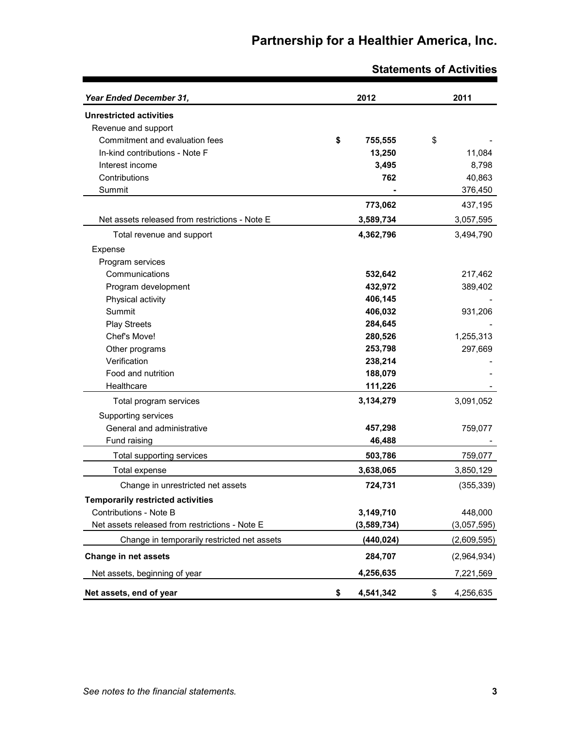| Year Ended December 31,                        | 2012            | 2011            |
|------------------------------------------------|-----------------|-----------------|
| <b>Unrestricted activities</b>                 |                 |                 |
| Revenue and support                            |                 |                 |
| Commitment and evaluation fees                 | \$<br>755,555   | \$              |
| In-kind contributions - Note F                 | 13,250          | 11,084          |
| Interest income                                | 3,495           | 8,798           |
| Contributions                                  | 762             | 40,863          |
| Summit                                         |                 | 376,450         |
|                                                | 773,062         | 437,195         |
| Net assets released from restrictions - Note E | 3,589,734       | 3,057,595       |
| Total revenue and support                      | 4,362,796       | 3,494,790       |
| Expense                                        |                 |                 |
| Program services                               |                 |                 |
| Communications                                 | 532,642         | 217,462         |
| Program development                            | 432,972         | 389,402         |
| Physical activity                              | 406,145         |                 |
| Summit                                         | 406,032         | 931,206         |
| <b>Play Streets</b>                            | 284,645         |                 |
| Chef's Move!                                   | 280,526         | 1,255,313       |
| Other programs                                 | 253,798         | 297,669         |
| Verification                                   | 238,214         |                 |
| Food and nutrition                             | 188,079         |                 |
| Healthcare                                     | 111,226         |                 |
| Total program services                         | 3,134,279       | 3,091,052       |
| Supporting services                            |                 |                 |
| General and administrative                     | 457,298         | 759,077         |
| Fund raising                                   | 46,488          |                 |
| Total supporting services                      | 503,786         | 759,077         |
| Total expense                                  | 3,638,065       | 3,850,129       |
| Change in unrestricted net assets              | 724,731         | (355, 339)      |
| <b>Temporarily restricted activities</b>       |                 |                 |
| Contributions - Note B                         | 3,149,710       | 448,000         |
| Net assets released from restrictions - Note E | (3,589,734)     | (3,057,595)     |
| Change in temporarily restricted net assets    | (440, 024)      | (2,609,595)     |
| Change in net assets                           | 284,707         | (2,964,934)     |
| Net assets, beginning of year                  | 4,256,635       | 7,221,569       |
| Net assets, end of year                        | 4,541,342<br>\$ | 4,256,635<br>\$ |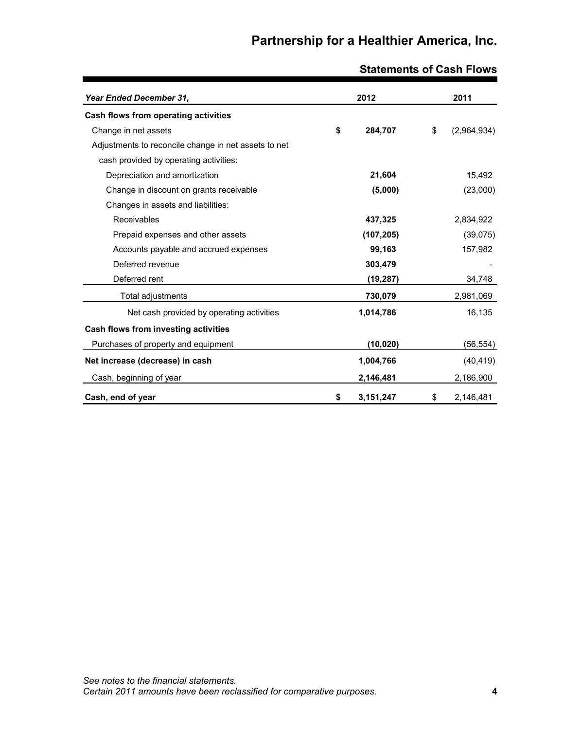| Year Ended December 31,                              | 2012            | 2011              |
|------------------------------------------------------|-----------------|-------------------|
| Cash flows from operating activities                 |                 |                   |
| Change in net assets                                 | \$<br>284,707   | \$<br>(2,964,934) |
| Adjustments to reconcile change in net assets to net |                 |                   |
| cash provided by operating activities:               |                 |                   |
| Depreciation and amortization                        | 21,604          | 15,492            |
| Change in discount on grants receivable              | (5,000)         | (23,000)          |
| Changes in assets and liabilities:                   |                 |                   |
| Receivables                                          | 437,325         | 2,834,922         |
| Prepaid expenses and other assets                    | (107, 205)      | (39,075)          |
| Accounts payable and accrued expenses                | 99,163          | 157,982           |
| Deferred revenue                                     | 303,479         |                   |
| Deferred rent                                        | (19, 287)       | 34,748            |
| Total adjustments                                    | 730,079         | 2,981,069         |
| Net cash provided by operating activities            | 1,014,786       | 16,135            |
| Cash flows from investing activities                 |                 |                   |
| Purchases of property and equipment                  | (10, 020)       | (56, 554)         |
| Net increase (decrease) in cash                      | 1,004,766       | (40, 419)         |
| Cash, beginning of year                              | 2,146,481       | 2,186,900         |
| Cash, end of year                                    | \$<br>3,151,247 | \$<br>2,146,481   |

## **Statements of Cash Flows**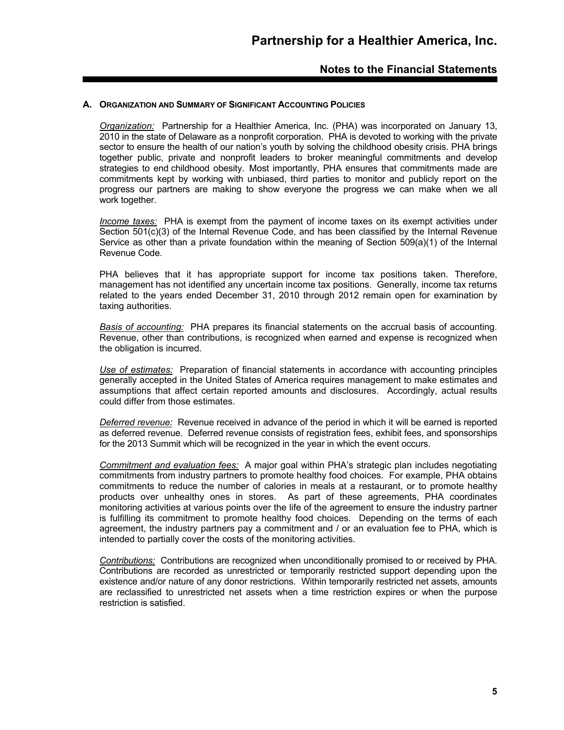#### **A. ORGANIZATION AND SUMMARY OF SIGNIFICANT ACCOUNTING POLICIES**

*Organization:* Partnership for a Healthier America, Inc. (PHA) was incorporated on January 13, 2010 in the state of Delaware as a nonprofit corporation. PHA is devoted to working with the private sector to ensure the health of our nation's youth by solving the childhood obesity crisis. PHA brings together public, private and nonprofit leaders to broker meaningful commitments and develop strategies to end childhood obesity. Most importantly, PHA ensures that commitments made are commitments kept by working with unbiased, third parties to monitor and publicly report on the progress our partners are making to show everyone the progress we can make when we all work together.

*Income taxes:* PHA is exempt from the payment of income taxes on its exempt activities under Section 501(c)(3) of the Internal Revenue Code, and has been classified by the Internal Revenue Service as other than a private foundation within the meaning of Section 509(a)(1) of the Internal Revenue Code.

PHA believes that it has appropriate support for income tax positions taken. Therefore, management has not identified any uncertain income tax positions. Generally, income tax returns related to the years ended December 31, 2010 through 2012 remain open for examination by taxing authorities.

*Basis of accounting:* PHA prepares its financial statements on the accrual basis of accounting. Revenue, other than contributions, is recognized when earned and expense is recognized when the obligation is incurred.

*Use of estimates:* Preparation of financial statements in accordance with accounting principles generally accepted in the United States of America requires management to make estimates and assumptions that affect certain reported amounts and disclosures. Accordingly, actual results could differ from those estimates.

*Deferred revenue:* Revenue received in advance of the period in which it will be earned is reported as deferred revenue. Deferred revenue consists of registration fees, exhibit fees, and sponsorships for the 2013 Summit which will be recognized in the year in which the event occurs.

*Commitment and evaluation fees:* A major goal within PHA's strategic plan includes negotiating commitments from industry partners to promote healthy food choices. For example, PHA obtains commitments to reduce the number of calories in meals at a restaurant, or to promote healthy products over unhealthy ones in stores. As part of these agreements, PHA coordinates monitoring activities at various points over the life of the agreement to ensure the industry partner is fulfilling its commitment to promote healthy food choices. Depending on the terms of each agreement, the industry partners pay a commitment and / or an evaluation fee to PHA, which is intended to partially cover the costs of the monitoring activities.

*Contributions:* Contributions are recognized when unconditionally promised to or received by PHA. Contributions are recorded as unrestricted or temporarily restricted support depending upon the existence and/or nature of any donor restrictions. Within temporarily restricted net assets, amounts are reclassified to unrestricted net assets when a time restriction expires or when the purpose restriction is satisfied.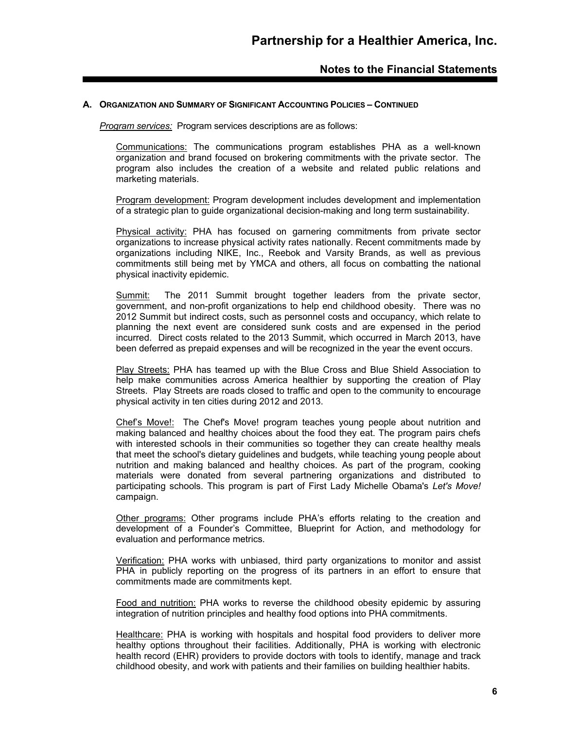#### **A. ORGANIZATION AND SUMMARY OF SIGNIFICANT ACCOUNTING POLICIES – CONTINUED**

*Program services:* Program services descriptions are as follows:

Communications: The communications program establishes PHA as a well-known organization and brand focused on brokering commitments with the private sector. The program also includes the creation of a website and related public relations and marketing materials.

Program development: Program development includes development and implementation of a strategic plan to guide organizational decision-making and long term sustainability.

Physical activity: PHA has focused on garnering commitments from private sector organizations to increase physical activity rates nationally. Recent commitments made by organizations including NIKE, Inc., Reebok and Varsity Brands, as well as previous commitments still being met by YMCA and others, all focus on combatting the national physical inactivity epidemic.

Summit: The 2011 Summit brought together leaders from the private sector, government, and non-profit organizations to help end childhood obesity. There was no 2012 Summit but indirect costs, such as personnel costs and occupancy, which relate to planning the next event are considered sunk costs and are expensed in the period incurred. Direct costs related to the 2013 Summit, which occurred in March 2013, have been deferred as prepaid expenses and will be recognized in the year the event occurs.

Play Streets: PHA has teamed up with the Blue Cross and Blue Shield Association to help make communities across America healthier by supporting the creation of Play Streets. Play Streets are roads closed to traffic and open to the community to encourage physical activity in ten cities during 2012 and 2013.

Chef's Move!: The Chef's Move! program teaches young people about nutrition and making balanced and healthy choices about the food they eat. The program pairs chefs with interested schools in their communities so together they can create healthy meals that meet the school's dietary guidelines and budgets, while teaching young people about nutrition and making balanced and healthy choices. As part of the program, cooking materials were donated from several partnering organizations and distributed to participating schools. This program is part of First Lady Michelle Obama's *Let's Move!* campaign.

Other programs: Other programs include PHA's efforts relating to the creation and development of a Founder's Committee, Blueprint for Action, and methodology for evaluation and performance metrics.

Verification: PHA works with unbiased, third party organizations to monitor and assist PHA in publicly reporting on the progress of its partners in an effort to ensure that commitments made are commitments kept.

Food and nutrition: PHA works to reverse the childhood obesity epidemic by assuring integration of nutrition principles and healthy food options into PHA commitments.

Healthcare: PHA is working with hospitals and hospital food providers to deliver more healthy options throughout their facilities. Additionally, PHA is working with electronic health record (EHR) providers to provide doctors with tools to identify, manage and track childhood obesity, and work with patients and their families on building healthier habits.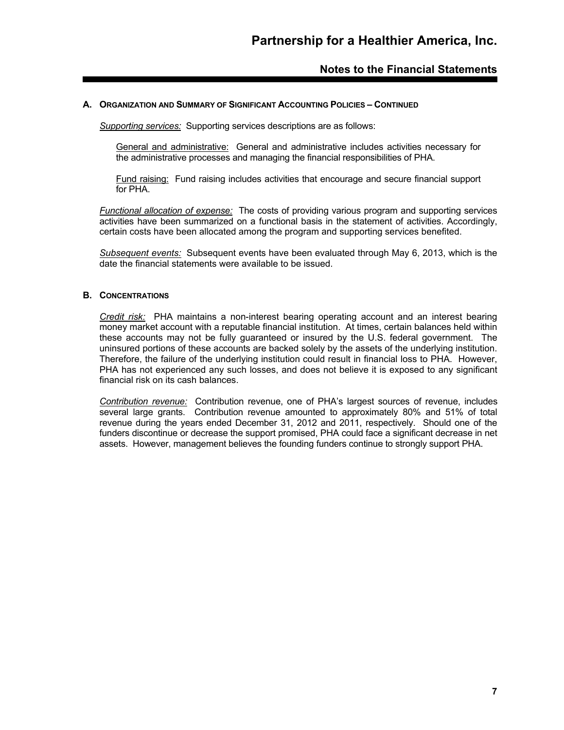#### **A. ORGANIZATION AND SUMMARY OF SIGNIFICANT ACCOUNTING POLICIES – CONTINUED**

*Supporting services:* Supporting services descriptions are as follows:

General and administrative:General and administrative includes activities necessary for the administrative processes and managing the financial responsibilities of PHA.

Fund raising: Fund raising includes activities that encourage and secure financial support for PHA.

*Functional allocation of expense:* The costs of providing various program and supporting services activities have been summarized on a functional basis in the statement of activities. Accordingly, certain costs have been allocated among the program and supporting services benefited.

*Subsequent events:* Subsequent events have been evaluated through May 6, 2013, which is the date the financial statements were available to be issued.

#### **B. CONCENTRATIONS**

*Credit risk:* PHA maintains a non-interest bearing operating account and an interest bearing money market account with a reputable financial institution. At times, certain balances held within these accounts may not be fully guaranteed or insured by the U.S. federal government. The uninsured portions of these accounts are backed solely by the assets of the underlying institution. Therefore, the failure of the underlying institution could result in financial loss to PHA. However, PHA has not experienced any such losses, and does not believe it is exposed to any significant financial risk on its cash balances.

*Contribution revenue:* Contribution revenue, one of PHA's largest sources of revenue, includes several large grants. Contribution revenue amounted to approximately 80% and 51% of total revenue during the years ended December 31, 2012 and 2011, respectively. Should one of the funders discontinue or decrease the support promised, PHA could face a significant decrease in net assets. However, management believes the founding funders continue to strongly support PHA.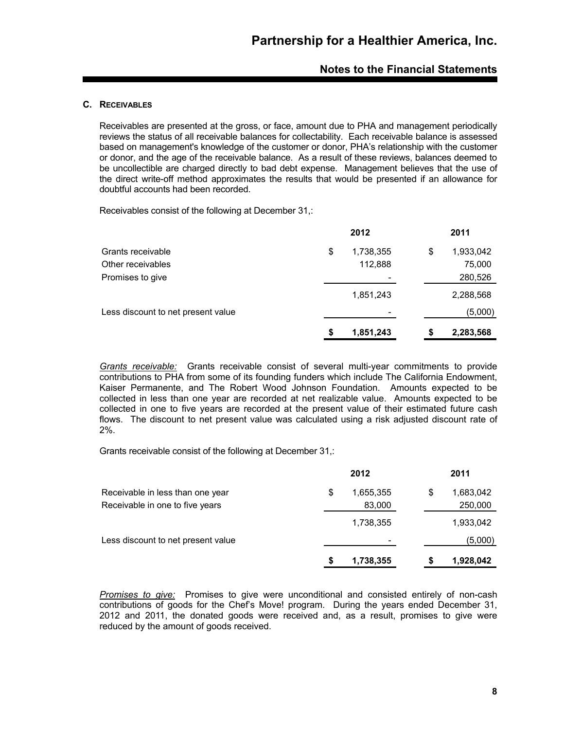#### **C. RECEIVABLES**

Receivables are presented at the gross, or face, amount due to PHA and management periodically reviews the status of all receivable balances for collectability. Each receivable balance is assessed based on management's knowledge of the customer or donor, PHA's relationship with the customer or donor, and the age of the receivable balance. As a result of these reviews, balances deemed to be uncollectible are charged directly to bad debt expense. Management believes that the use of the direct write-off method approximates the results that would be presented if an allowance for doubtful accounts had been recorded.

Receivables consist of the following at December 31,:

|                                    |    | 2012      | 2011            |
|------------------------------------|----|-----------|-----------------|
| Grants receivable                  | \$ | 1,738,355 | \$<br>1,933,042 |
| Other receivables                  |    | 112,888   | 75,000          |
| Promises to give                   |    | -         | 280,526         |
|                                    |    | 1,851,243 | 2,288,568       |
| Less discount to net present value |    | -         | (5,000)         |
|                                    | S  | 1,851,243 | \$<br>2,283,568 |
|                                    |    |           |                 |

*Grants receivable:* Grants receivable consist of several multi-year commitments to provide contributions to PHA from some of its founding funders which include The California Endowment, Kaiser Permanente, and The Robert Wood Johnson Foundation. Amounts expected to be collected in less than one year are recorded at net realizable value. Amounts expected to be collected in one to five years are recorded at the present value of their estimated future cash flows. The discount to net present value was calculated using a risk adjusted discount rate of 2%.

Grants receivable consist of the following at December 31,:

|                                    | 2012                     |    | 2011      |
|------------------------------------|--------------------------|----|-----------|
| Receivable in less than one year   | \$<br>1,655,355          | \$ | 1,683,042 |
| Receivable in one to five years    | 83,000                   |    | 250,000   |
|                                    | 1,738,355                |    | 1,933,042 |
| Less discount to net present value | $\overline{\phantom{0}}$ |    | (5,000)   |
|                                    | 1,738,355                | S  | 1,928,042 |

*Promises to give:* Promises to give were unconditional and consisted entirely of non-cash contributions of goods for the Chef's Move! program. During the years ended December 31, 2012 and 2011, the donated goods were received and, as a result, promises to give were reduced by the amount of goods received.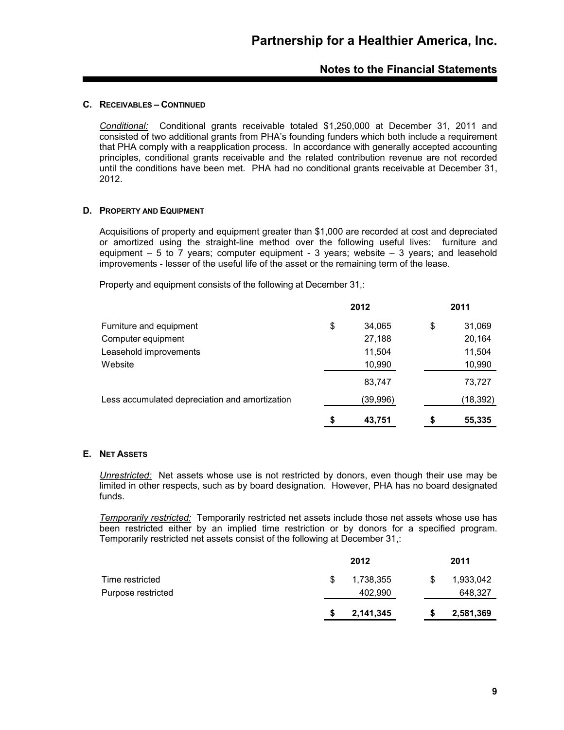#### **C. RECEIVABLES – CONTINUED**

*Conditional:* Conditional grants receivable totaled \$1,250,000 at December 31, 2011 and consisted of two additional grants from PHA's founding funders which both include a requirement that PHA comply with a reapplication process. In accordance with generally accepted accounting principles, conditional grants receivable and the related contribution revenue are not recorded until the conditions have been met. PHA had no conditional grants receivable at December 31, 2012.

#### **D. PROPERTY AND EQUIPMENT**

Acquisitions of property and equipment greater than \$1,000 are recorded at cost and depreciated or amortized using the straight-line method over the following useful lives: furniture and equipment  $-5$  to  $\overline{7}$  years; computer equipment - 3 years; website  $-3$  years; and leasehold improvements - lesser of the useful life of the asset or the remaining term of the lease.

Property and equipment consists of the following at December 31,:

|                                                | 2012         | 2011         |
|------------------------------------------------|--------------|--------------|
| Furniture and equipment                        | \$<br>34,065 | \$<br>31,069 |
| Computer equipment                             | 27,188       | 20,164       |
| Leasehold improvements                         | 11,504       | 11,504       |
| Website                                        | 10,990       | 10,990       |
|                                                | 83,747       | 73,727       |
| Less accumulated depreciation and amortization | (39,996)     | (18, 392)    |
|                                                | \$<br>43,751 | \$<br>55,335 |

#### **E. NET ASSETS**

*Unrestricted:* Net assets whose use is not restricted by donors, even though their use may be limited in other respects, such as by board designation. However, PHA has no board designated funds.

*Temporarily restricted:* Temporarily restricted net assets include those net assets whose use has been restricted either by an implied time restriction or by donors for a specified program. Temporarily restricted net assets consist of the following at December 31,:

|                    | 2012      |   | 2011      |
|--------------------|-----------|---|-----------|
| Time restricted    | 1,738,355 | S | 1,933,042 |
| Purpose restricted | 402,990   |   | 648,327   |
|                    | 2,141,345 | S | 2,581,369 |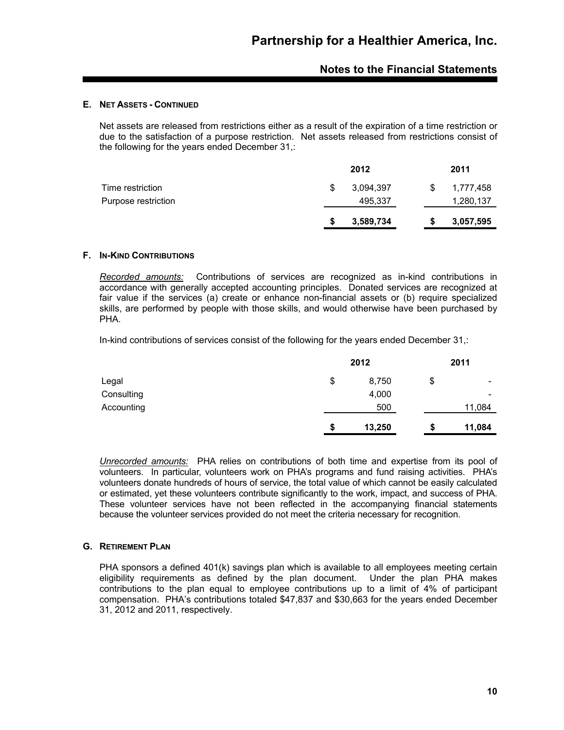#### **E. NET ASSETS - CONTINUED**

Net assets are released from restrictions either as a result of the expiration of a time restriction or due to the satisfaction of a purpose restriction. Net assets released from restrictions consist of the following for the years ended December 31,:

|                     |   | 2012      |    | 2011      |
|---------------------|---|-----------|----|-----------|
| Time restriction    | S | 3,094,397 | S. | 1,777,458 |
| Purpose restriction |   | 495,337   |    | 1,280,137 |
|                     |   | 3,589,734 |    | 3,057,595 |

#### **F. IN-KIND CONTRIBUTIONS**

*Recorded amounts:* Contributions of services are recognized as in-kind contributions in accordance with generally accepted accounting principles. Donated services are recognized at fair value if the services (a) create or enhance non-financial assets or (b) require specialized skills, are performed by people with those skills, and would otherwise have been purchased by PHA.

In-kind contributions of services consist of the following for the years ended December 31,:

|            |    | 2012   |    | 2011                     |
|------------|----|--------|----|--------------------------|
| Legal      | \$ | 8,750  | \$ | ۰                        |
| Consulting |    | 4,000  |    | $\overline{\phantom{0}}$ |
| Accounting |    | 500    |    | 11,084                   |
|            | S  | 13,250 | Ð  | 11,084                   |

*Unrecorded amounts:* PHA relies on contributions of both time and expertise from its pool of volunteers. In particular, volunteers work on PHA's programs and fund raising activities. PHA's volunteers donate hundreds of hours of service, the total value of which cannot be easily calculated or estimated, yet these volunteers contribute significantly to the work, impact, and success of PHA. These volunteer services have not been reflected in the accompanying financial statements because the volunteer services provided do not meet the criteria necessary for recognition.

#### **G. RETIREMENT PLAN**

PHA sponsors a defined 401(k) savings plan which is available to all employees meeting certain eligibility requirements as defined by the plan document. Under the plan PHA makes contributions to the plan equal to employee contributions up to a limit of 4% of participant compensation. PHA's contributions totaled \$47,837 and \$30,663 for the years ended December 31, 2012 and 2011, respectively.